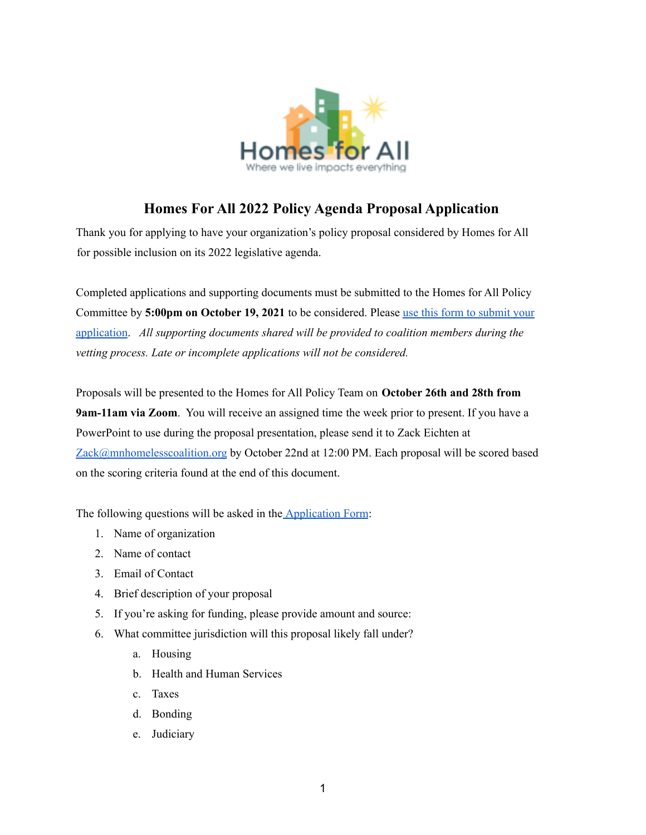

# **Homes For All 2022 Policy Agenda Proposal Application**

Thank you for applying to have your organization's policy proposal considered by Homes for All for possible inclusion on its 2022 legislative agenda.

Completed applications and supporting documents must be submitted to the Homes for All Policy Committee by **5:00pm on October 19, 2021** to be considered. Please use this form to [submit](https://forms.gle/nAf4XBzvUZh7eMMd8) your [application](https://forms.gle/nAf4XBzvUZh7eMMd8). *All supporting documents shared will be provided to coalition members during the vetting process. Late or incomplete applications will not be considered.*

Proposals will be presented to the Homes for All Policy Team on **October 26th and 28th from 9am-11am via Zoom**. You will receive an assigned time the week prior to present. If you have a PowerPoint to use during the proposal presentation, please send it to Zack Eichten at [Zack@mnhomelesscoalition.org](mailto:Zack@mnhomelesscoalition.org) by October 22nd at 12:00 PM. Each proposal will be scored based on the scoring criteria found at the end of this document.

The following questions will be asked in the **[Application](https://forms.gle/nAf4XBzvUZh7eMMd8) Form:** 

- 1. Name of organization
- 2. Name of contact
- 3. Email of Contact
- 4. Brief description of your proposal
- 5. If you're asking for funding, please provide amount and source:
- 6. What committee jurisdiction will this proposal likely fall under?
	- a. Housing
	- b. Health and Human Services
	- c. Taxes
	- d. Bonding
	- e. Judiciary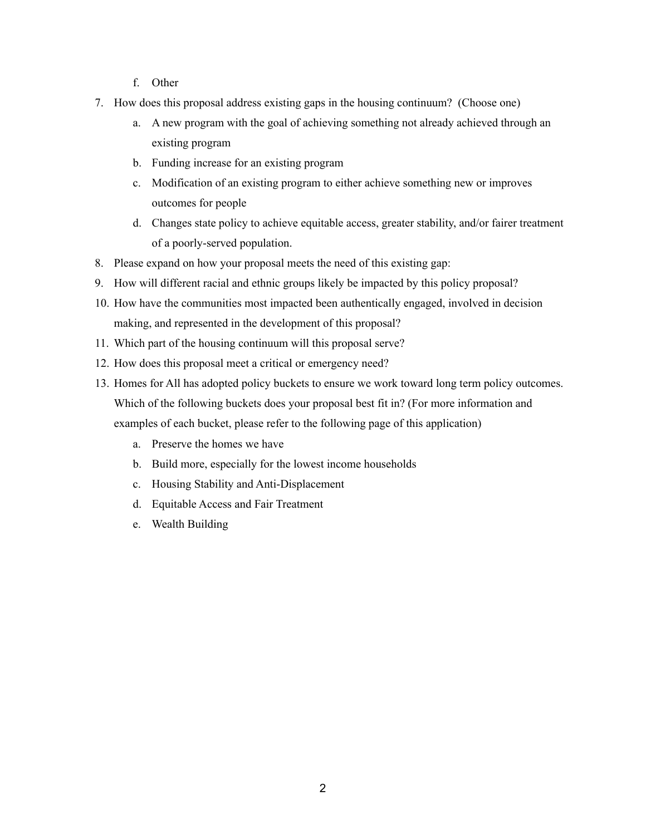- f. Other
- 7. How does this proposal address existing gaps in the housing continuum? (Choose one)
	- a. A new program with the goal of achieving something not already achieved through an existing program
	- b. Funding increase for an existing program
	- c. Modification of an existing program to either achieve something new or improves outcomes for people
	- d. Changes state policy to achieve equitable access, greater stability, and/or fairer treatment of a poorly-served population.
- 8. Please expand on how your proposal meets the need of this existing gap:
- 9. How will different racial and ethnic groups likely be impacted by this policy proposal?
- 10. How have the communities most impacted been authentically engaged, involved in decision making, and represented in the development of this proposal?
- 11. Which part of the housing continuum will this proposal serve?
- 12. How does this proposal meet a critical or emergency need?
- 13. Homes for All has adopted policy buckets to ensure we work toward long term policy outcomes. Which of the following buckets does your proposal best fit in? (For more information and examples of each bucket, please refer to the following page of this application)
	- a. Preserve the homes we have
	- b. Build more, especially for the lowest income households
	- c. Housing Stability and Anti-Displacement
	- d. Equitable Access and Fair Treatment
	- e. Wealth Building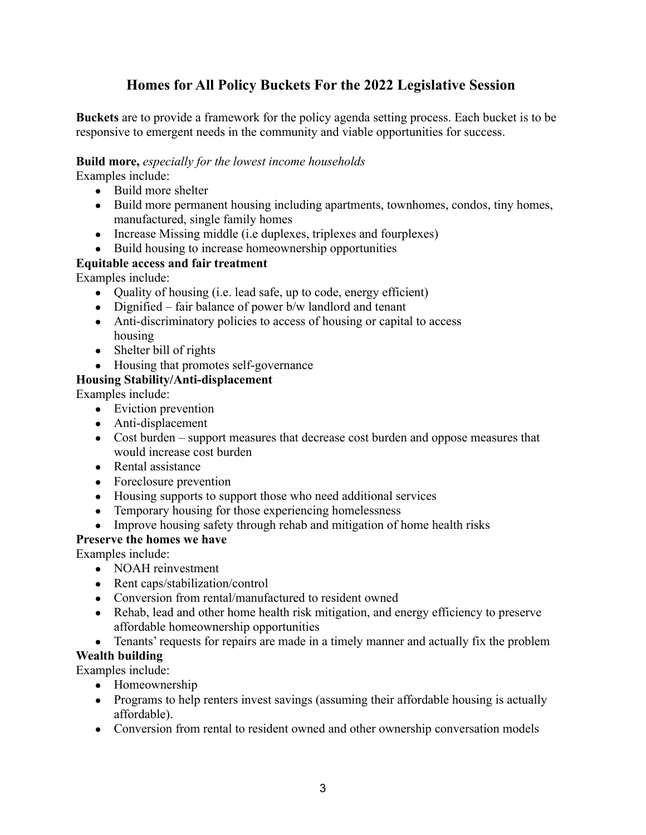## **Homes for All Policy Buckets For the 2022 Legislative Session**

**Buckets** are to provide a framework for the policy agenda setting process. Each bucket is to be responsive to emergent needs in the community and viable opportunities for success.

#### **Build more,** *especially for the lowest income households*

Examples include:

- Build more shelter
- Build more permanent housing including apartments, townhomes, condos, tiny homes, manufactured, single family homes
- Increase Missing middle (i.e duplexes, triplexes and fourplexes)
- Build housing to increase homeownership opportunities

### **Equitable access and fair treatment**

Examples include:

- Quality of housing (i.e. lead safe, up to code, energy efficient)
- Dignified fair balance of power  $b/w$  landlord and tenant
- Anti-discriminatory policies to access of housing or capital to access housing
- $\bullet$  Shelter bill of rights
- Housing that promotes self-governance

## **Housing Stability/Anti-displacement**

Examples include:

- Eviction prevention
- Anti-displacement
- Cost burden support measures that decrease cost burden and oppose measures that would increase cost burden
- Rental assistance
- Foreclosure prevention
- Housing supports to support those who need additional services
- Temporary housing for those experiencing homelessness
- Improve housing safety through rehab and mitigation of home health risks

### **Preserve the homes we have**

Examples include:

- NOAH reinvestment
- Rent caps/stabilization/control
- Conversion from rental/manufactured to resident owned
- Rehab, lead and other home health risk mitigation, and energy efficiency to preserve affordable homeownership opportunities
- Tenants' requests for repairs are made in a timely manner and actually fix the problem

### **Wealth building**

Examples include:

- Homeownership
- Programs to help renters invest savings (assuming their affordable housing is actually affordable).
- Conversion from rental to resident owned and other ownership conversation models